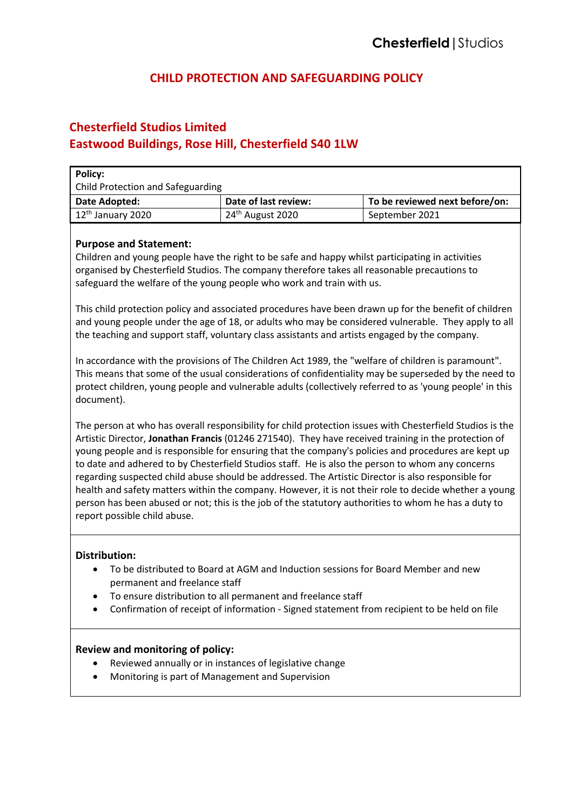# **CHILD PROTECTION AND SAFEGUARDING POLICY**

# **Chesterfield Studios Limited**

## **Eastwood Buildings, Rose Hill, Chesterfield S40 1LW**

| Policy:<br><b>Child Protection and Safeguarding</b> |                      |                                |  |
|-----------------------------------------------------|----------------------|--------------------------------|--|
| Date Adopted:                                       | Date of last review: | To be reviewed next before/on: |  |
| $12th$ January 2020                                 | $24th$ August 2020   | September 2021                 |  |

## **Purpose and Statement:**

Children and young people have the right to be safe and happy whilst participating in activities organised by Chesterfield Studios. The company therefore takes all reasonable precautions to safeguard the welfare of the young people who work and train with us.

This child protection policy and associated procedures have been drawn up for the benefit of children and young people under the age of 18, or adults who may be considered vulnerable. They apply to all the teaching and support staff, voluntary class assistants and artists engaged by the company.

In accordance with the provisions of The Children Act 1989, the "welfare of children is paramount". This means that some of the usual considerations of confidentiality may be superseded by the need to protect children, young people and vulnerable adults (collectively referred to as 'young people' in this document).

The person at who has overall responsibility for child protection issues with Chesterfield Studios is the Artistic Director, **Jonathan Francis** (01246 271540). They have received training in the protection of young people and is responsible for ensuring that the company's policies and procedures are kept up to date and adhered to by Chesterfield Studios staff. He is also the person to whom any concerns regarding suspected child abuse should be addressed. The Artistic Director is also responsible for health and safety matters within the company. However, it is not their role to decide whether a young person has been abused or not; this is the job of the statutory authorities to whom he has a duty to report possible child abuse.

## **Distribution:**

- To be distributed to Board at AGM and Induction sessions for Board Member and new permanent and freelance staff
- To ensure distribution to all permanent and freelance staff
- Confirmation of receipt of information Signed statement from recipient to be held on file

## **Review and monitoring of policy:**

- Reviewed annually or in instances of legislative change
- Monitoring is part of Management and Supervision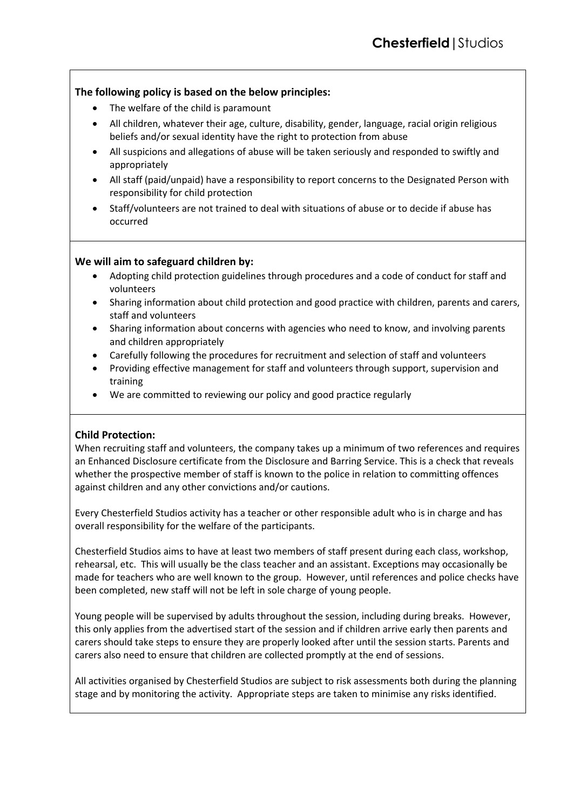## **The following policy is based on the below principles:**

- The welfare of the child is paramount
- All children, whatever their age, culture, disability, gender, language, racial origin religious beliefs and/or sexual identity have the right to protection from abuse
- All suspicions and allegations of abuse will be taken seriously and responded to swiftly and appropriately
- All staff (paid/unpaid) have a responsibility to report concerns to the Designated Person with responsibility for child protection
- Staff/volunteers are not trained to deal with situations of abuse or to decide if abuse has occurred

## **We will aim to safeguard children by:**

- Adopting child protection guidelines through procedures and a code of conduct for staff and volunteers
- Sharing information about child protection and good practice with children, parents and carers, staff and volunteers
- Sharing information about concerns with agencies who need to know, and involving parents and children appropriately
- Carefully following the procedures for recruitment and selection of staff and volunteers
- Providing effective management for staff and volunteers through support, supervision and training
- We are committed to reviewing our policy and good practice regularly

## **Child Protection:**

When recruiting staff and volunteers, the company takes up a minimum of two references and requires an Enhanced Disclosure certificate from the Disclosure and Barring Service. This is a check that reveals whether the prospective member of staff is known to the police in relation to committing offences against children and any other convictions and/or cautions.

Every Chesterfield Studios activity has a teacher or other responsible adult who is in charge and has overall responsibility for the welfare of the participants.

Chesterfield Studios aims to have at least two members of staff present during each class, workshop, rehearsal, etc. This will usually be the class teacher and an assistant. Exceptions may occasionally be made for teachers who are well known to the group. However, until references and police checks have been completed, new staff will not be left in sole charge of young people.

Young people will be supervised by adults throughout the session, including during breaks. However, this only applies from the advertised start of the session and if children arrive early then parents and carers should take steps to ensure they are properly looked after until the session starts. Parents and carers also need to ensure that children are collected promptly at the end of sessions.

All activities organised by Chesterfield Studios are subject to risk assessments both during the planning stage and by monitoring the activity. Appropriate steps are taken to minimise any risks identified.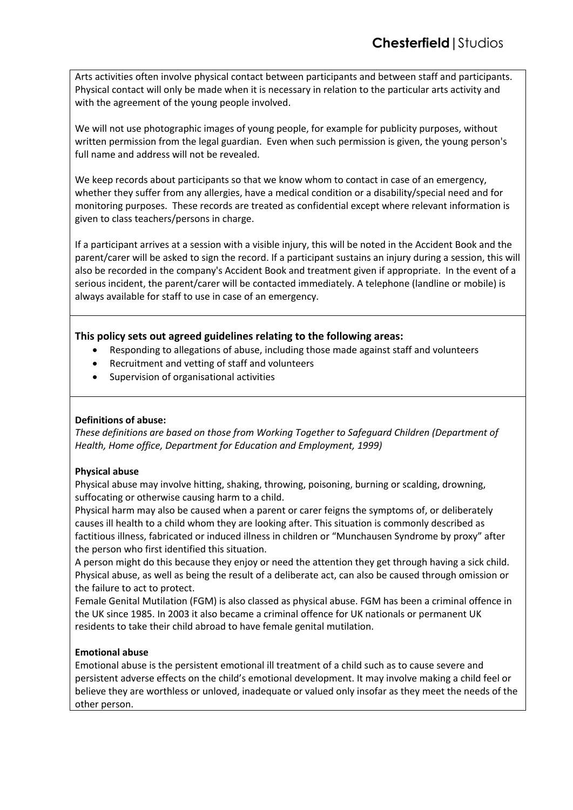Arts activities often involve physical contact between participants and between staff and participants. Physical contact will only be made when it is necessary in relation to the particular arts activity and with the agreement of the young people involved.

We will not use photographic images of young people, for example for publicity purposes, without written permission from the legal guardian. Even when such permission is given, the young person's full name and address will not be revealed.

We keep records about participants so that we know whom to contact in case of an emergency, whether they suffer from any allergies, have a medical condition or a disability/special need and for monitoring purposes. These records are treated as confidential except where relevant information is given to class teachers/persons in charge.

If a participant arrives at a session with a visible injury, this will be noted in the Accident Book and the parent/carer will be asked to sign the record. If a participant sustains an injury during a session, this will also be recorded in the company's Accident Book and treatment given if appropriate. In the event of a serious incident, the parent/carer will be contacted immediately. A telephone (landline or mobile) is always available for staff to use in case of an emergency.

## **This policy sets out agreed guidelines relating to the following areas:**

- Responding to allegations of abuse, including those made against staff and volunteers
- Recruitment and vetting of staff and volunteers
- Supervision of organisational activities

#### **Definitions of abuse:**

*These definitions are based on those from Working Together to Safeguard Children (Department of Health, Home office, Department for Education and Employment, 1999)*

#### **Physical abuse**

Physical abuse may involve hitting, shaking, throwing, poisoning, burning or scalding, drowning, suffocating or otherwise causing harm to a child.

Physical harm may also be caused when a parent or carer feigns the symptoms of, or deliberately causes ill health to a child whom they are looking after. This situation is commonly described as factitious illness, fabricated or induced illness in children or "Munchausen Syndrome by proxy" after the person who first identified this situation.

A person might do this because they enjoy or need the attention they get through having a sick child. Physical abuse, as well as being the result of a deliberate act, can also be caused through omission or the failure to act to protect.

Female Genital Mutilation (FGM) is also classed as physical abuse. FGM has been a criminal offence in the UK since 1985. In 2003 it also became a criminal offence for UK nationals or permanent UK residents to take their child abroad to have female genital mutilation.

## **Emotional abuse**

Emotional abuse is the persistent emotional ill treatment of a child such as to cause severe and persistent adverse effects on the child's emotional development. It may involve making a child feel or believe they are worthless or unloved, inadequate or valued only insofar as they meet the needs of the other person.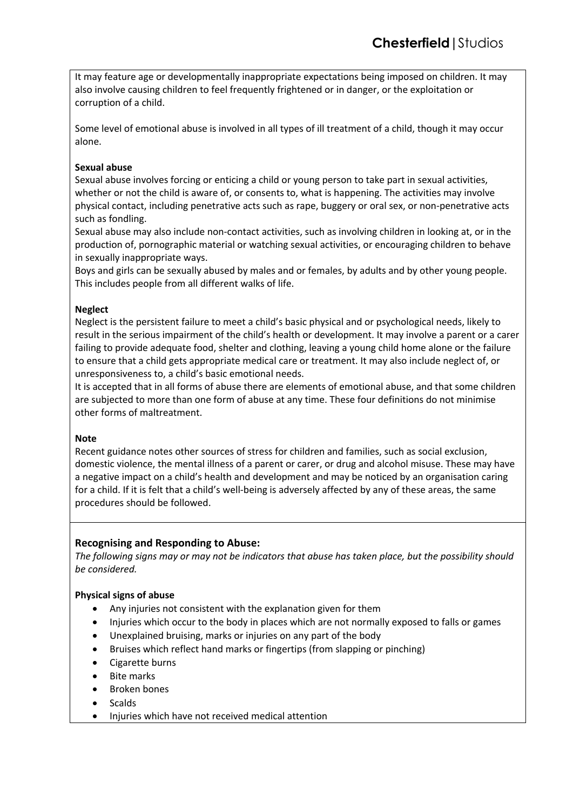It may feature age or developmentally inappropriate expectations being imposed on children. It may also involve causing children to feel frequently frightened or in danger, or the exploitation or corruption of a child.

Some level of emotional abuse is involved in all types of ill treatment of a child, though it may occur alone.

## **Sexual abuse**

Sexual abuse involves forcing or enticing a child or young person to take part in sexual activities, whether or not the child is aware of, or consents to, what is happening. The activities may involve physical contact, including penetrative acts such as rape, buggery or oral sex, or non-penetrative acts such as fondling.

Sexual abuse may also include non-contact activities, such as involving children in looking at, or in the production of, pornographic material or watching sexual activities, or encouraging children to behave in sexually inappropriate ways.

Boys and girls can be sexually abused by males and or females, by adults and by other young people. This includes people from all different walks of life.

#### **Neglect**

Neglect is the persistent failure to meet a child's basic physical and or psychological needs, likely to result in the serious impairment of the child's health or development. It may involve a parent or a carer failing to provide adequate food, shelter and clothing, leaving a young child home alone or the failure to ensure that a child gets appropriate medical care or treatment. It may also include neglect of, or unresponsiveness to, a child's basic emotional needs.

It is accepted that in all forms of abuse there are elements of emotional abuse, and that some children are subjected to more than one form of abuse at any time. These four definitions do not minimise other forms of maltreatment.

#### **Note**

Recent guidance notes other sources of stress for children and families, such as social exclusion, domestic violence, the mental illness of a parent or carer, or drug and alcohol misuse. These may have a negative impact on a child's health and development and may be noticed by an organisation caring for a child. If it is felt that a child's well-being is adversely affected by any of these areas, the same procedures should be followed.

## **Recognising and Responding to Abuse:**

*The following signs may or may not be indicators that abuse has taken place, but the possibility should be considered.*

## **Physical signs of abuse**

- Any injuries not consistent with the explanation given for them
- Injuries which occur to the body in places which are not normally exposed to falls or games
- Unexplained bruising, marks or injuries on any part of the body
- Bruises which reflect hand marks or fingertips (from slapping or pinching)
- Cigarette burns
- Bite marks
- Broken bones
- Scalds
- Injuries which have not received medical attention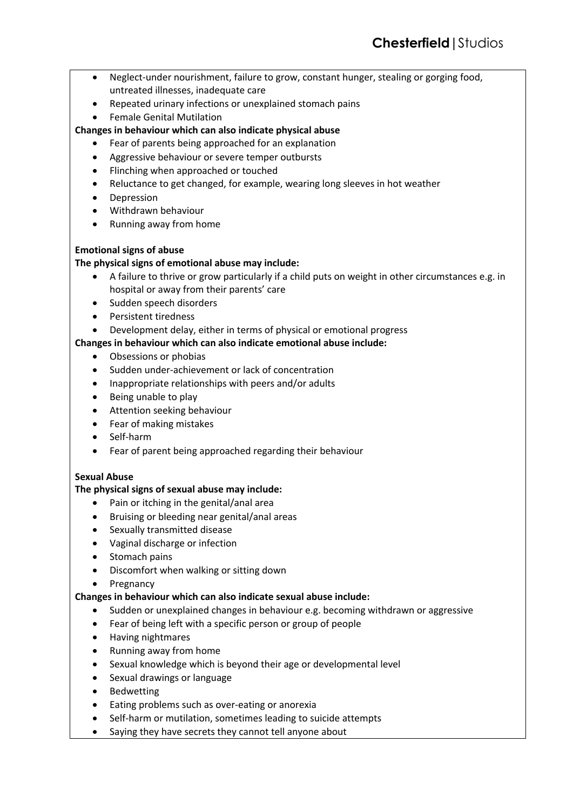- Neglect-under nourishment, failure to grow, constant hunger, stealing or gorging food, untreated illnesses, inadequate care
- Repeated urinary infections or unexplained stomach pains
- Female Genital Mutilation

## **Changes in behaviour which can also indicate physical abuse**

- Fear of parents being approached for an explanation
- Aggressive behaviour or severe temper outbursts
- Flinching when approached or touched
- Reluctance to get changed, for example, wearing long sleeves in hot weather
- Depression
- Withdrawn behaviour
- Running away from home

## **Emotional signs of abuse**

## **The physical signs of emotional abuse may include:**

- A failure to thrive or grow particularly if a child puts on weight in other circumstances e.g. in hospital or away from their parents' care
- Sudden speech disorders
- Persistent tiredness
- Development delay, either in terms of physical or emotional progress

## **Changes in behaviour which can also indicate emotional abuse include:**

- Obsessions or phobias
- Sudden under-achievement or lack of concentration
- Inappropriate relationships with peers and/or adults
- Being unable to play
- Attention seeking behaviour
- Fear of making mistakes
- Self-harm
- Fear of parent being approached regarding their behaviour

## **Sexual Abuse**

## **The physical signs of sexual abuse may include:**

- Pain or itching in the genital/anal area
- Bruising or bleeding near genital/anal areas
- Sexually transmitted disease
- Vaginal discharge or infection
- Stomach pains
- Discomfort when walking or sitting down
- **Pregnancy**

## **Changes in behaviour which can also indicate sexual abuse include:**

- Sudden or unexplained changes in behaviour e.g. becoming withdrawn or aggressive
- Fear of being left with a specific person or group of people
- Having nightmares
- Running away from home
- Sexual knowledge which is beyond their age or developmental level
- Sexual drawings or language
- Bedwetting
- Eating problems such as over-eating or anorexia
- Self-harm or mutilation, sometimes leading to suicide attempts
- Saying they have secrets they cannot tell anyone about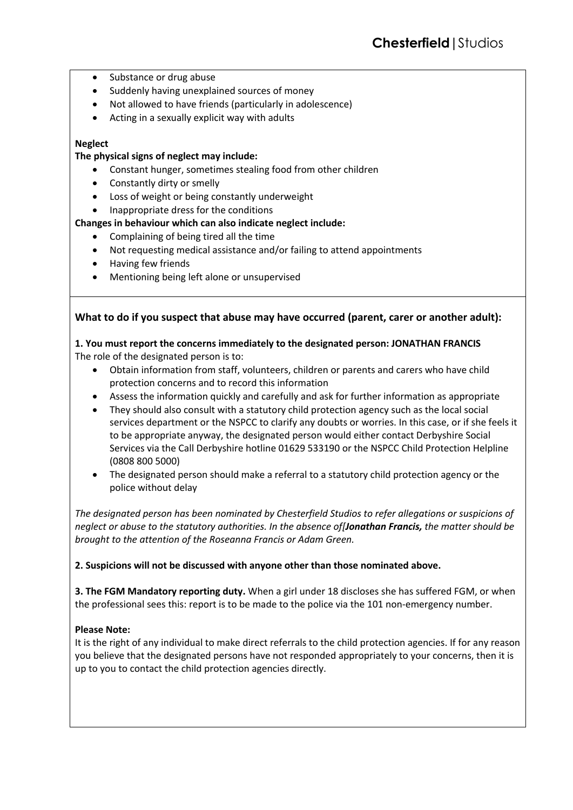- Substance or drug abuse
- Suddenly having unexplained sources of money
- Not allowed to have friends (particularly in adolescence)
- Acting in a sexually explicit way with adults

#### **Neglect**

#### **The physical signs of neglect may include:**

- Constant hunger, sometimes stealing food from other children
- Constantly dirty or smelly
- Loss of weight or being constantly underweight
- Inappropriate dress for the conditions

## **Changes in behaviour which can also indicate neglect include:**

- Complaining of being tired all the time
- Not requesting medical assistance and/or failing to attend appointments
- Having few friends
- Mentioning being left alone or unsupervised

#### **What to do if you suspect that abuse may have occurred (parent, carer or another adult):**

#### **1. You must report the concerns immediately to the designated person: JONATHAN FRANCIS** The role of the designated person is to:

- Obtain information from staff, volunteers, children or parents and carers who have child protection concerns and to record this information
- Assess the information quickly and carefully and ask for further information as appropriate
- They should also consult with a statutory child protection agency such as the local social services department or the NSPCC to clarify any doubts or worries. In this case, or if she feels it to be appropriate anyway, the designated person would either contact Derbyshire Social Services via the Call Derbyshire hotline 01629 533190 or the NSPCC Child Protection Helpline (0808 800 5000)
- The designated person should make a referral to a statutory child protection agency or the police without delay

*The designated person has been nominated by Chesterfield Studios to refer allegations or suspicions of neglect or abuse to the statutory authorities. In the absence of[Jonathan Francis, the matter should be brought to the attention of the Roseanna Francis or Adam Green.*

#### **2. Suspicions will not be discussed with anyone other than those nominated above.**

**3. The FGM Mandatory reporting duty.** When a girl under 18 discloses she has suffered FGM, or when the professional sees this: report is to be made to the police via the 101 non-emergency number.

#### **Please Note:**

It is the right of any individual to make direct referrals to the child protection agencies. If for any reason you believe that the designated persons have not responded appropriately to your concerns, then it is up to you to contact the child protection agencies directly.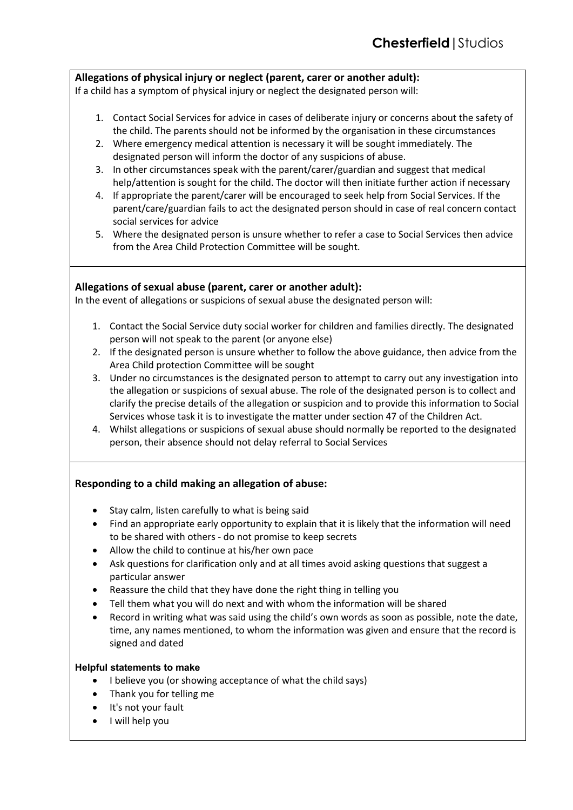## **Allegations of physical injury or neglect (parent, carer or another adult):**

If a child has a symptom of physical injury or neglect the designated person will:

- 1. Contact Social Services for advice in cases of deliberate injury or concerns about the safety of the child. The parents should not be informed by the organisation in these circumstances
- 2. Where emergency medical attention is necessary it will be sought immediately. The designated person will inform the doctor of any suspicions of abuse.
- 3. In other circumstances speak with the parent/carer/guardian and suggest that medical help/attention is sought for the child. The doctor will then initiate further action if necessary
- 4. If appropriate the parent/carer will be encouraged to seek help from Social Services. If the parent/care/guardian fails to act the designated person should in case of real concern contact social services for advice
- 5. Where the designated person is unsure whether to refer a case to Social Services then advice from the Area Child Protection Committee will be sought.

## **Allegations of sexual abuse (parent, carer or another adult):**

In the event of allegations or suspicions of sexual abuse the designated person will:

- 1. Contact the Social Service duty social worker for children and families directly. The designated person will not speak to the parent (or anyone else)
- 2. If the designated person is unsure whether to follow the above guidance, then advice from the Area Child protection Committee will be sought
- 3. Under no circumstances is the designated person to attempt to carry out any investigation into the allegation or suspicions of sexual abuse. The role of the designated person is to collect and clarify the precise details of the allegation or suspicion and to provide this information to Social Services whose task it is to investigate the matter under section 47 of the Children Act.
- 4. Whilst allegations or suspicions of sexual abuse should normally be reported to the designated person, their absence should not delay referral to Social Services

## **Responding to a child making an allegation of abuse:**

- Stay calm, listen carefully to what is being said
- Find an appropriate early opportunity to explain that it is likely that the information will need to be shared with others - do not promise to keep secrets
- Allow the child to continue at his/her own pace
- Ask questions for clarification only and at all times avoid asking questions that suggest a particular answer
- Reassure the child that they have done the right thing in telling you
- Tell them what you will do next and with whom the information will be shared
- Record in writing what was said using the child's own words as soon as possible, note the date, time, any names mentioned, to whom the information was given and ensure that the record is signed and dated

## **Helpful statements to make**

- I believe you (or showing acceptance of what the child says)
- Thank you for telling me
- It's not your fault
- I will help you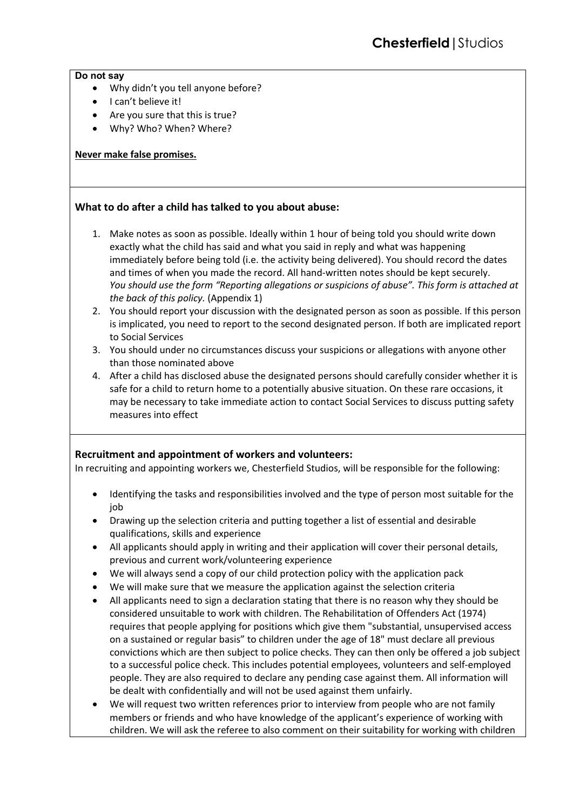#### **Do not say**

- Why didn't you tell anyone before?
- I can't believe it!
- Are you sure that this is true?
- Why? Who? When? Where?

## **Never make false promises.**

## **What to do after a child has talked to you about abuse:**

- 1. Make notes as soon as possible. Ideally within 1 hour of being told you should write down exactly what the child has said and what you said in reply and what was happening immediately before being told (i.e. the activity being delivered). You should record the dates and times of when you made the record. All hand-written notes should be kept securely. *You should use the form "Reporting allegations or suspicions of abuse". This form is attached at the back of this policy.* (Appendix 1)
- 2. You should report your discussion with the designated person as soon as possible. If this person is implicated, you need to report to the second designated person. If both are implicated report to Social Services
- 3. You should under no circumstances discuss your suspicions or allegations with anyone other than those nominated above
- 4. After a child has disclosed abuse the designated persons should carefully consider whether it is safe for a child to return home to a potentially abusive situation. On these rare occasions, it may be necessary to take immediate action to contact Social Services to discuss putting safety measures into effect

## **Recruitment and appointment of workers and volunteers:**

In recruiting and appointing workers we, Chesterfield Studios, will be responsible for the following:

- Identifying the tasks and responsibilities involved and the type of person most suitable for the job
- Drawing up the selection criteria and putting together a list of essential and desirable qualifications, skills and experience
- All applicants should apply in writing and their application will cover their personal details, previous and current work/volunteering experience
- We will always send a copy of our child protection policy with the application pack
- We will make sure that we measure the application against the selection criteria
- All applicants need to sign a declaration stating that there is no reason why they should be considered unsuitable to work with children. The Rehabilitation of Offenders Act (1974) requires that people applying for positions which give them "substantial, unsupervised access on a sustained or regular basis" to children under the age of 18" must declare all previous convictions which are then subject to police checks. They can then only be offered a job subject to a successful police check. This includes potential employees, volunteers and self-employed people. They are also required to declare any pending case against them. All information will be dealt with confidentially and will not be used against them unfairly.
- We will request two written references prior to interview from people who are not family members or friends and who have knowledge of the applicant's experience of working with children. We will ask the referee to also comment on their suitability for working with children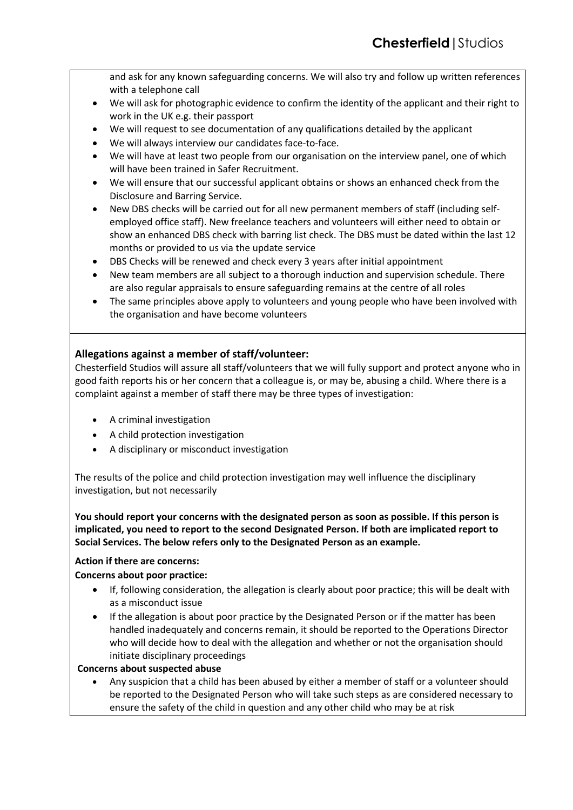and ask for any known safeguarding concerns. We will also try and follow up written references with a telephone call

- We will ask for photographic evidence to confirm the identity of the applicant and their right to work in the UK e.g. their passport
- We will request to see documentation of any qualifications detailed by the applicant
- We will always interview our candidates face-to-face.
- We will have at least two people from our organisation on the interview panel, one of which will have been trained in Safer Recruitment.
- We will ensure that our successful applicant obtains or shows an enhanced check from the Disclosure and Barring Service.
- New DBS checks will be carried out for all new permanent members of staff (including selfemployed office staff). New freelance teachers and volunteers will either need to obtain or show an enhanced DBS check with barring list check. The DBS must be dated within the last 12 months or provided to us via the update service
- DBS Checks will be renewed and check every 3 years after initial appointment
- New team members are all subject to a thorough induction and supervision schedule. There are also regular appraisals to ensure safeguarding remains at the centre of all roles
- The same principles above apply to volunteers and young people who have been involved with the organisation and have become volunteers

## **Allegations against a member of staff/volunteer:**

Chesterfield Studios will assure all staff/volunteers that we will fully support and protect anyone who in good faith reports his or her concern that a colleague is, or may be, abusing a child. Where there is a complaint against a member of staff there may be three types of investigation:

- A criminal investigation
- A child protection investigation
- A disciplinary or misconduct investigation

The results of the police and child protection investigation may well influence the disciplinary investigation, but not necessarily

**You should report your concerns with the designated person as soon as possible. If this person is implicated, you need to report to the second Designated Person. If both are implicated report to Social Services. The below refers only to the Designated Person as an example.**

## **Action if there are concerns:**

## **Concerns about poor practice:**

- If, following consideration, the allegation is clearly about poor practice; this will be dealt with as a misconduct issue
- If the allegation is about poor practice by the Designated Person or if the matter has been handled inadequately and concerns remain, it should be reported to the Operations Director who will decide how to deal with the allegation and whether or not the organisation should initiate disciplinary proceedings

#### **Concerns about suspected abuse**

Any suspicion that a child has been abused by either a member of staff or a volunteer should be reported to the Designated Person who will take such steps as are considered necessary to ensure the safety of the child in question and any other child who may be at risk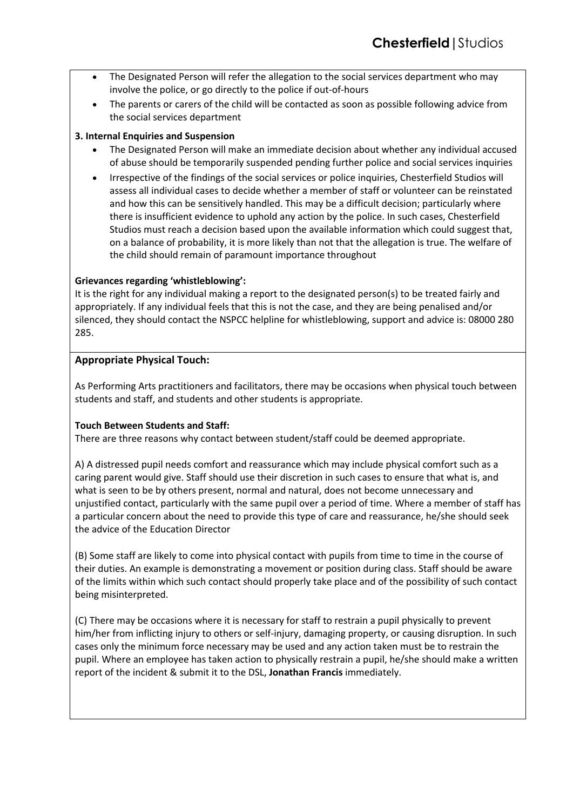- The Designated Person will refer the allegation to the social services department who may involve the police, or go directly to the police if out-of-hours
- The parents or carers of the child will be contacted as soon as possible following advice from the social services department

## **3. Internal Enquiries and Suspension**

- The Designated Person will make an immediate decision about whether any individual accused of abuse should be temporarily suspended pending further police and social services inquiries
- Irrespective of the findings of the social services or police inquiries, Chesterfield Studios will assess all individual cases to decide whether a member of staff or volunteer can be reinstated and how this can be sensitively handled. This may be a difficult decision; particularly where there is insufficient evidence to uphold any action by the police. In such cases, Chesterfield Studios must reach a decision based upon the available information which could suggest that, on a balance of probability, it is more likely than not that the allegation is true. The welfare of the child should remain of paramount importance throughout

#### **Grievances regarding 'whistleblowing':**

It is the right for any individual making a report to the designated person(s) to be treated fairly and appropriately. If any individual feels that this is not the case, and they are being penalised and/or silenced, they should contact the NSPCC helpline for whistleblowing, support and advice is: 08000 280 285.

## **Appropriate Physical Touch:**

As Performing Arts practitioners and facilitators, there may be occasions when physical touch between students and staff, and students and other students is appropriate.

#### **Touch Between Students and Staff:**

There are three reasons why contact between student/staff could be deemed appropriate.

A) A distressed pupil needs comfort and reassurance which may include physical comfort such as a caring parent would give. Staff should use their discretion in such cases to ensure that what is, and what is seen to be by others present, normal and natural, does not become unnecessary and unjustified contact, particularly with the same pupil over a period of time. Where a member of staff has a particular concern about the need to provide this type of care and reassurance, he/she should seek the advice of the Education Director

(B) Some staff are likely to come into physical contact with pupils from time to time in the course of their duties. An example is demonstrating a movement or position during class. Staff should be aware of the limits within which such contact should properly take place and of the possibility of such contact being misinterpreted.

(C) There may be occasions where it is necessary for staff to restrain a pupil physically to prevent him/her from inflicting injury to others or self-injury, damaging property, or causing disruption. In such cases only the minimum force necessary may be used and any action taken must be to restrain the pupil. Where an employee has taken action to physically restrain a pupil, he/she should make a written report of the incident & submit it to the DSL, **Jonathan Francis** immediately.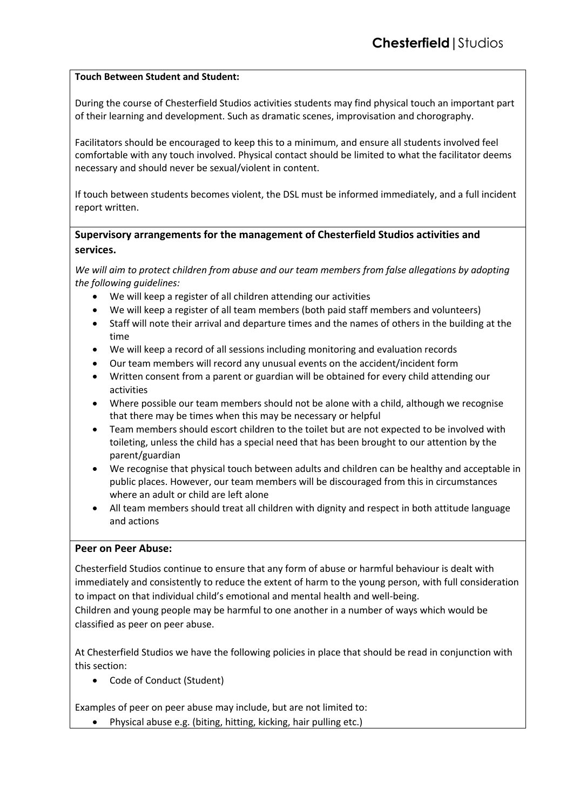#### **Touch Between Student and Student:**

During the course of Chesterfield Studios activities students may find physical touch an important part of their learning and development. Such as dramatic scenes, improvisation and chorography.

Facilitators should be encouraged to keep this to a minimum, and ensure all students involved feel comfortable with any touch involved. Physical contact should be limited to what the facilitator deems necessary and should never be sexual/violent in content.

If touch between students becomes violent, the DSL must be informed immediately, and a full incident report written.

## **Supervisory arrangements for the management of Chesterfield Studios activities and services.**

*We will aim to protect children from abuse and our team members from false allegations by adopting the following guidelines:*

- We will keep a register of all children attending our activities
- We will keep a register of all team members (both paid staff members and volunteers)
- Staff will note their arrival and departure times and the names of others in the building at the time
- We will keep a record of all sessions including monitoring and evaluation records
- Our team members will record any unusual events on the accident/incident form
- Written consent from a parent or guardian will be obtained for every child attending our activities
- Where possible our team members should not be alone with a child, although we recognise that there may be times when this may be necessary or helpful
- Team members should escort children to the toilet but are not expected to be involved with toileting, unless the child has a special need that has been brought to our attention by the parent/guardian
- We recognise that physical touch between adults and children can be healthy and acceptable in public places. However, our team members will be discouraged from this in circumstances where an adult or child are left alone
- All team members should treat all children with dignity and respect in both attitude language and actions

## **Peer on Peer Abuse:**

Chesterfield Studios continue to ensure that any form of abuse or harmful behaviour is dealt with immediately and consistently to reduce the extent of harm to the young person, with full consideration to impact on that individual child's emotional and mental health and well-being.

Children and young people may be harmful to one another in a number of ways which would be classified as peer on peer abuse.

At Chesterfield Studios we have the following policies in place that should be read in conjunction with this section:

• Code of Conduct (Student)

Examples of peer on peer abuse may include, but are not limited to:

• Physical abuse e.g. (biting, hitting, kicking, hair pulling etc.)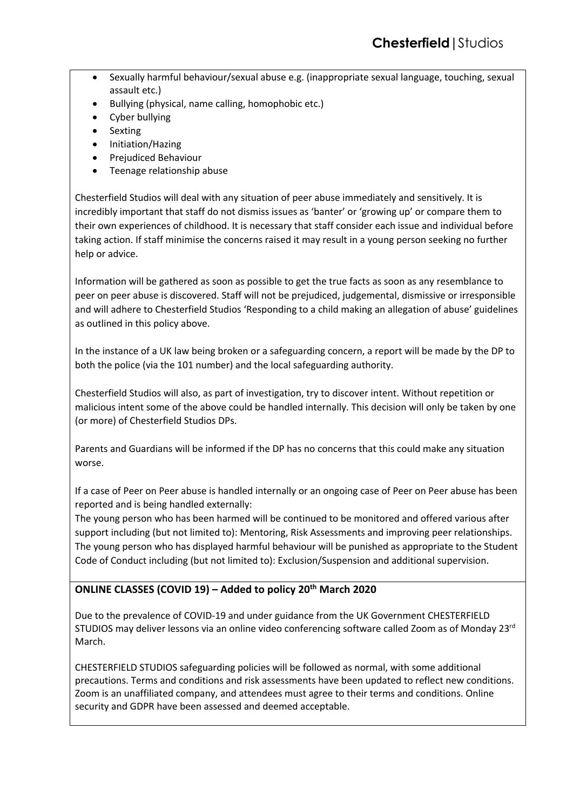- Sexually harmful behaviour/sexual abuse e.g. (inappropriate sexual language, touching, sexual assault etc.)
- Bullying (physical, name calling, homophobic etc.)
- Cyber bullying
- **Sexting**
- Initiation/Hazing
- Prejudiced Behaviour
- Teenage relationship abuse

Chesterfield Studios will deal with any situation of peer abuse immediately and sensitively. It is incredibly important that staff do not dismiss issues as 'banter' or 'growing up' or compare them to their own experiences of childhood. It is necessary that staff consider each issue and individual before taking action. If staff minimise the concerns raised it may result in a young person seeking no further help or advice.

Information will be gathered as soon as possible to get the true facts as soon as any resemblance to peer on peer abuse is discovered. Staff will not be prejudiced, judgemental, dismissive or irresponsible and will adhere to Chesterfield Studios 'Responding to a child making an allegation of abuse' guidelines as outlined in this policy above.

In the instance of a UK law being broken or a safeguarding concern, a report will be made by the DP to both the police (via the 101 number) and the local safeguarding authority.

Chesterfield Studios will also, as part of investigation, try to discover intent. Without repetition or malicious intent some of the above could be handled internally. This decision will only be taken by one (or more) of Chesterfield Studios DPs.

Parents and Guardians will be informed if the DP has no concerns that this could make any situation worse.

If a case of Peer on Peer abuse is handled internally or an ongoing case of Peer on Peer abuse has been reported and is being handled externally:

The young person who has been harmed will be continued to be monitored and offered various after support including (but not limited to): Mentoring, Risk Assessments and improving peer relationships. The young person who has displayed harmful behaviour will be punished as appropriate to the Student Code of Conduct including (but not limited to): Exclusion/Suspension and additional supervision.

## **ONLINE CLASSES (COVID 19) – Added to policy 20th March 2020**

Due to the prevalence of COVID-19 and under guidance from the UK Government CHESTERFIELD STUDIOS may deliver lessons via an online video conferencing software called Zoom as of Monday 23rd March.

CHESTERFIELD STUDIOS safeguarding policies will be followed as normal, with some additional precautions. Terms and conditions and risk assessments have been updated to reflect new conditions. Zoom is an unaffiliated company, and attendees must agree to their terms and conditions. Online security and GDPR have been assessed and deemed acceptable.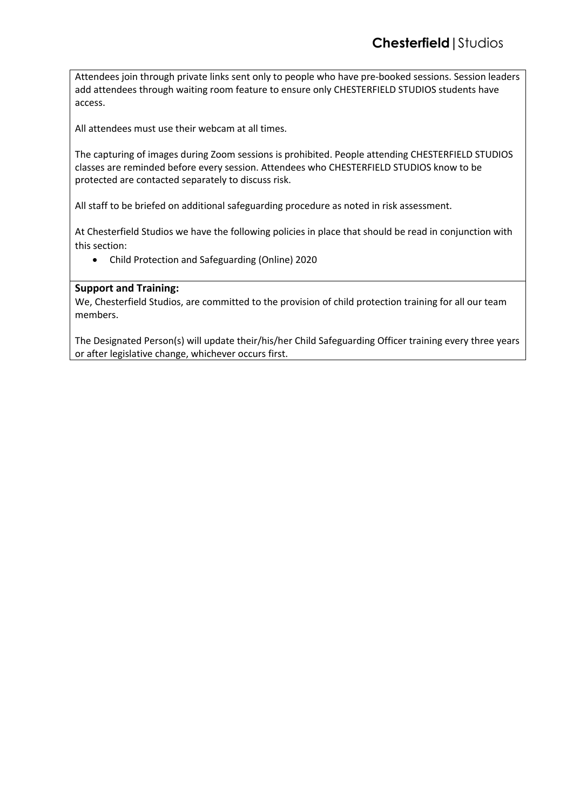Attendees join through private links sent only to people who have pre-booked sessions. Session leaders add attendees through waiting room feature to ensure only CHESTERFIELD STUDIOS students have access.

All attendees must use their webcam at all times.

The capturing of images during Zoom sessions is prohibited. People attending CHESTERFIELD STUDIOS classes are reminded before every session. Attendees who CHESTERFIELD STUDIOS know to be protected are contacted separately to discuss risk.

All staff to be briefed on additional safeguarding procedure as noted in risk assessment.

At Chesterfield Studios we have the following policies in place that should be read in conjunction with this section:

• Child Protection and Safeguarding (Online) 2020

#### **Support and Training:**

We, Chesterfield Studios, are committed to the provision of child protection training for all our team members.

The Designated Person(s) will update their/his/her Child Safeguarding Officer training every three years or after legislative change, whichever occurs first.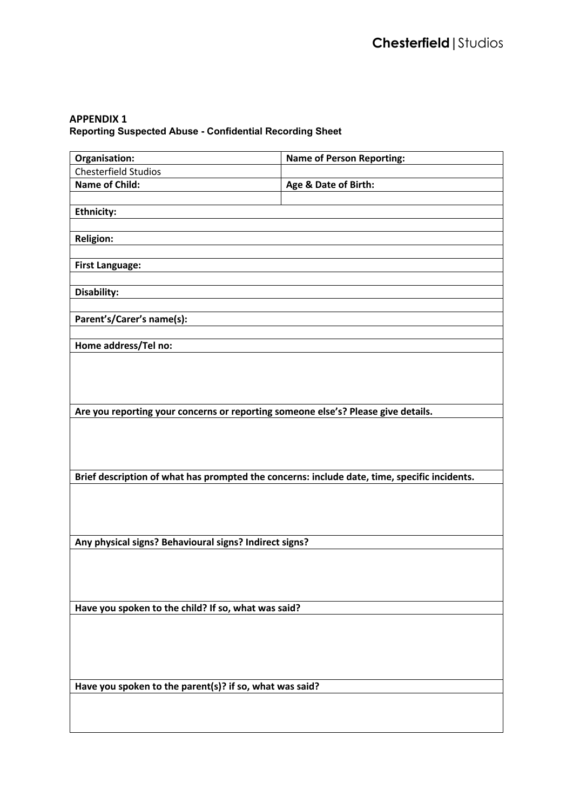## **APPENDIX 1**

**Reporting Suspected Abuse - Confidential Recording Sheet**

| Organisation:                                                                                | <b>Name of Person Reporting:</b> |  |
|----------------------------------------------------------------------------------------------|----------------------------------|--|
| <b>Chesterfield Studios</b>                                                                  |                                  |  |
| <b>Name of Child:</b>                                                                        | Age & Date of Birth:             |  |
|                                                                                              |                                  |  |
| <b>Ethnicity:</b>                                                                            |                                  |  |
|                                                                                              |                                  |  |
| <b>Religion:</b>                                                                             |                                  |  |
|                                                                                              |                                  |  |
| <b>First Language:</b>                                                                       |                                  |  |
|                                                                                              |                                  |  |
| Disability:                                                                                  |                                  |  |
|                                                                                              |                                  |  |
| Parent's/Carer's name(s):                                                                    |                                  |  |
|                                                                                              |                                  |  |
| Home address/Tel no:                                                                         |                                  |  |
|                                                                                              |                                  |  |
|                                                                                              |                                  |  |
|                                                                                              |                                  |  |
| Are you reporting your concerns or reporting someone else's? Please give details.            |                                  |  |
|                                                                                              |                                  |  |
|                                                                                              |                                  |  |
|                                                                                              |                                  |  |
|                                                                                              |                                  |  |
| Brief description of what has prompted the concerns: include date, time, specific incidents. |                                  |  |
|                                                                                              |                                  |  |
|                                                                                              |                                  |  |
|                                                                                              |                                  |  |
|                                                                                              |                                  |  |
| Any physical signs? Behavioural signs? Indirect signs?                                       |                                  |  |
|                                                                                              |                                  |  |
|                                                                                              |                                  |  |
|                                                                                              |                                  |  |
| Have you spoken to the child? If so, what was said?                                          |                                  |  |
|                                                                                              |                                  |  |
|                                                                                              |                                  |  |
|                                                                                              |                                  |  |
|                                                                                              |                                  |  |
|                                                                                              |                                  |  |
| Have you spoken to the parent(s)? if so, what was said?                                      |                                  |  |
|                                                                                              |                                  |  |
|                                                                                              |                                  |  |
|                                                                                              |                                  |  |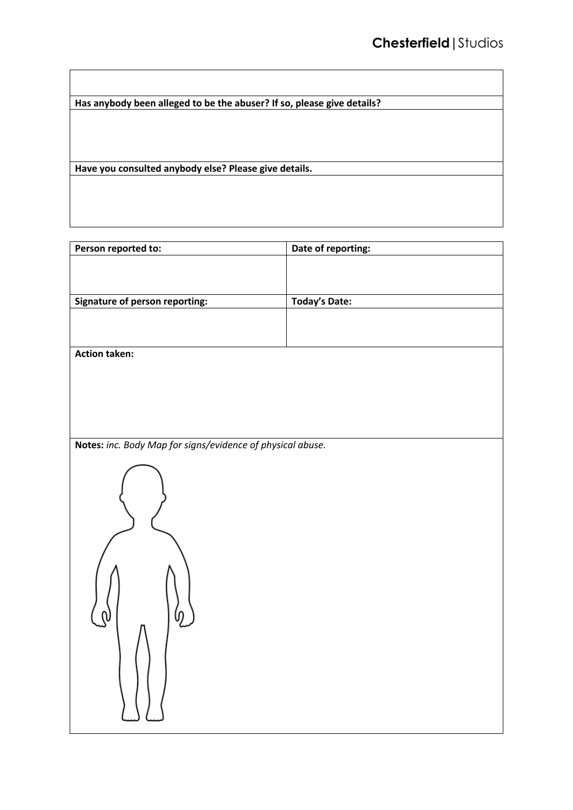**Has anybody been alleged to be the abuser? If so, please give details?**

**Have you consulted anybody else? Please give details.**

| Person reported to:                                        | Date of reporting:   |
|------------------------------------------------------------|----------------------|
|                                                            |                      |
|                                                            |                      |
| <b>Signature of person reporting:</b>                      | <b>Today's Date:</b> |
|                                                            |                      |
|                                                            |                      |
|                                                            |                      |
| <b>Action taken:</b>                                       |                      |
|                                                            |                      |
|                                                            |                      |
|                                                            |                      |
|                                                            |                      |
| Notes: inc. Body Map for signs/evidence of physical abuse. |                      |
|                                                            |                      |
|                                                            |                      |
|                                                            |                      |
|                                                            |                      |
|                                                            |                      |
|                                                            |                      |
|                                                            |                      |
|                                                            |                      |
|                                                            |                      |
|                                                            |                      |
|                                                            |                      |
|                                                            |                      |
|                                                            |                      |
|                                                            |                      |
|                                                            |                      |
|                                                            |                      |
|                                                            |                      |
|                                                            |                      |